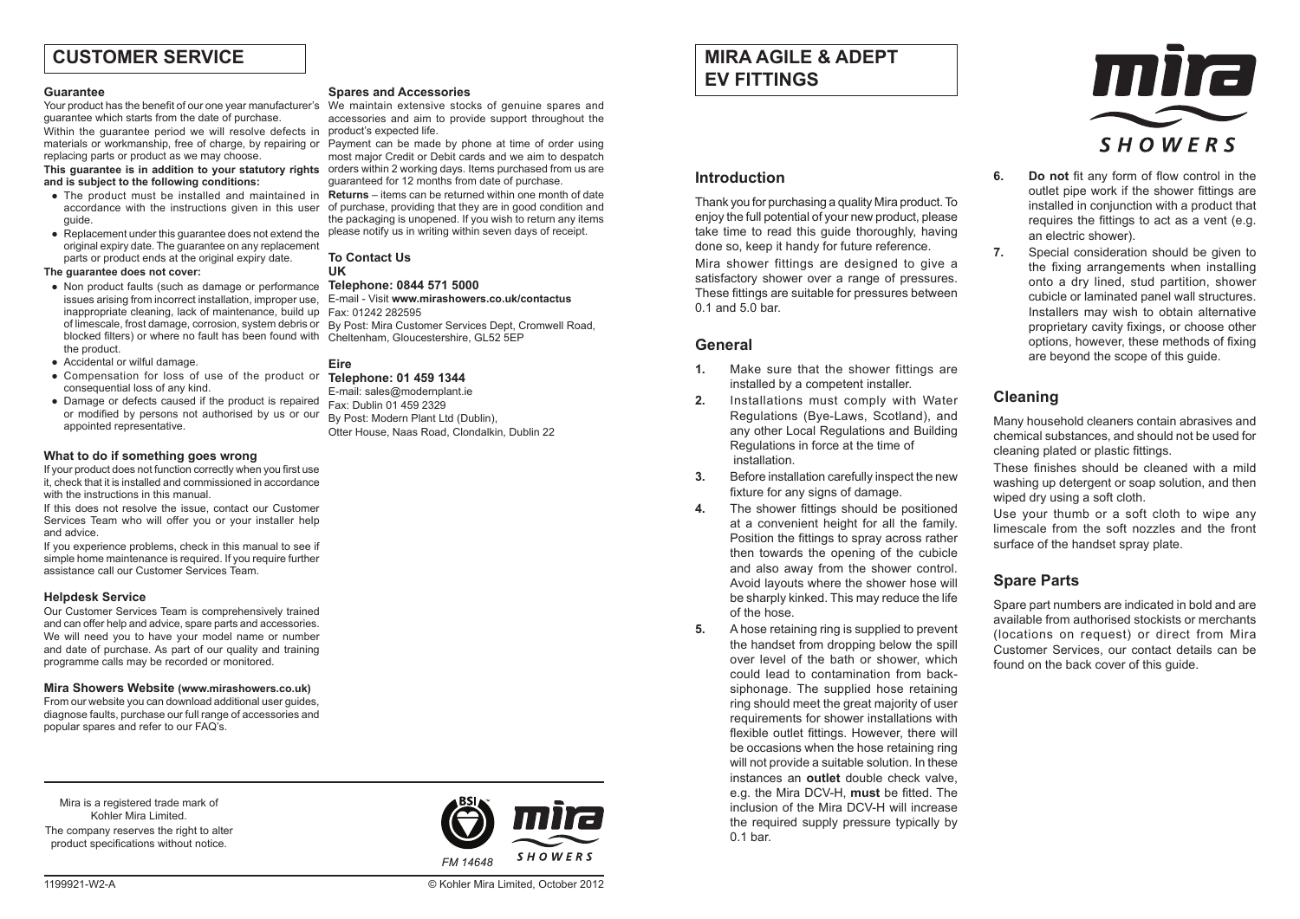# **CUSTOMER SERVICE**

#### **Guarantee**

guarantee which starts from the date of purchase.

Within the guarantee period we will resolve defects in materials or workmanship, free of charge, by repairing or Payment can be made by phone at time of order using replacing parts or product as we may choose.

**This guarantee is in addition to your statutory rights and is subject to the following conditions:**

- The product must be installed and maintained in accordance with the instructions given in this user guide.
- Replacement under this guarantee does not extend the original expiry date. The guarantee on any replacement parts or product ends at the original expiry date.

#### **The guarantee does not cover:**

- Non product faults (such as damage or performance issues arising from incorrect installation, improper use, inappropriate cleaning, lack of maintenance, build up of limescale, frost damage, corrosion, system debris or blocked filters) or where no fault has been found with the product.
- Accidental or wilful damage.
- Compensation for loss of use of the product or **Telephone: 01 459 1344** consequential loss of any kind.
- Damage or defects caused if the product is repaired or modified by persons not authorised by us or our appointed representative.

# **What to do if something goes wrong**

If your product does not function correctly when you first use it, check that it is installed and commissioned in accordance with the instructions in this manual

If this does not resolve the issue, contact our Customer Services Team who will offer you or your installer help and advice.

If you experience problems, check in this manual to see if simple home maintenance is required. If you require further assistance call our Customer Services Team.

# **Helpdesk Service**

Our Customer Services Team is comprehensively trained and can offer help and advice, spare parts and accessories. We will need you to have your model name or number and date of purchase. As part of our quality and training programme calls may be recorded or monitored.

# **Mira Showers Website (www.mirashowers.co.uk)**

From our website you can download additional user guides, diagnose faults, purchase our full range of accessories and popular spares and refer to our FAQ's.

Mira is a registered trade mark of Kohler Mira Limited.

The company reserves the right to alter product specifications without notice.

#### **Spares and Accessories**

Your product has the benefit of our one year manufacturer's We maintain extensive stocks of genuine spares and accessories and aim to provide support throughout the product's expected life.

> most major Credit or Debit cards and we aim to despatch orders within 2 working days. Items purchased from us are guaranteed for 12 months from date of purchase.

> **Returns** – items can be returned within one month of date of purchase, providing that they are in good condition and the packaging is unopened. If you wish to return any items please notify us in writing within seven days of receipt.

**To Contact Us UK**

# **Telephone: 0844 571 5000** E-mail - Visit **www.mirashowers.co.uk/contactus**

Fax: 01242 282595 By Post: Mira Customer Services Dept, Cromwell Road, Cheltenham, Gloucestershire, GL52 5EP

# **Eire**

E-mail: sales@modernplant.ie Fax: Dublin 01 459 2329 By Post: Modern Plant Ltd (Dublin), Otter House, Naas Road, Clondalkin, Dublin 22



1199921-W2-A © Kohler Mira Limited, October 2012

# **MIRA AGILE & ADEPT EV FITTINGS**

# **Introduction**

Thank you for purchasing a quality Mira product. To enjoy the full potential of your new product, please take time to read this guide thoroughly, having done so, keep it handy for future reference.

Mira shower fittings are designed to give a satisfactory shower over a range of pressures. These fittings are suitable for pressures between 0.1 and 5.0 bar.

# **General**

- **1.** Make sure that the shower fittings are installed by a competent installer.
- **2.** Installations must comply with Water Regulations (Bye-Laws, Scotland), and any other Local Regulations and Building Regulations in force at the time of installation.
- **3.** Before installation carefully inspect the new fixture for any signs of damage.
- **4.** The shower fittings should be positioned at a convenient height for all the family. Position the fittings to spray across rather then towards the opening of the cubicle and also away from the shower control. Avoid layouts where the shower hose will be sharply kinked. This may reduce the life of the hose.
- **5.** A hose retaining ring is supplied to prevent the handset from dropping below the spill over level of the bath or shower, which could lead to contamination from backsiphonage. The supplied hose retaining ring should meet the great majority of user requirements for shower installations with flexible outlet fittings. However, there will be occasions when the hose retaining ring will not provide a suitable solution. In these instances an **outlet** double check valve, e.g. the Mira DCV-H, **must** be fitted. The inclusion of the Mira DCV-H will increase the required supply pressure typically by 0.1 bar.



- **6. Do not** fit any form of flow control in the outlet pipe work if the shower fittings are installed in conjunction with a product that requires the fittings to act as a vent (e.g. an electric shower).
- **7.** Special consideration should be given to the fixing arrangements when installing onto a dry lined, stud partition, shower cubicle or laminated panel wall structures. Installers may wish to obtain alternative proprietary cavity fixings, or choose other options, however, these methods of fixing are beyond the scope of this guide.

# **Cleaning**

Many household cleaners contain abrasives and chemical substances, and should not be used for cleaning plated or plastic fittings.

These finishes should be cleaned with a mild washing up detergent or soap solution, and then wiped dry using a soft cloth.

Use your thumb or a soft cloth to wipe any limescale from the soft nozzles and the front surface of the handset spray plate.

# **Spare Parts**

Spare part numbers are indicated in bold and are available from authorised stockists or merchants (locations on request) or direct from Mira Customer Services, our contact details can be found on the back cover of this guide.